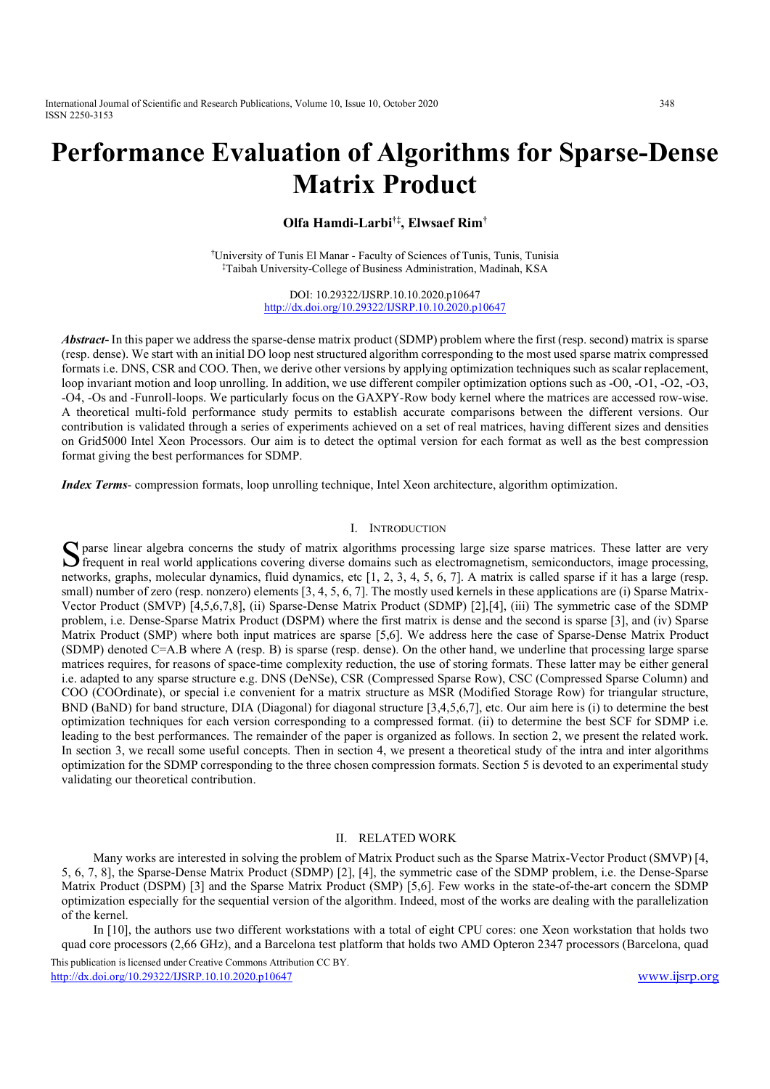International Journal of Scientific and Research Publications, Volume 10, Issue 10, October 2020 348 ISSN 2250-3153

# Performance Evaluation of Algorithms for Sparse-Dense Matrix Product

Olfa Hamdi-Larbi†‡, Elwsaef Rim†

†University of Tunis El Manar - Faculty of Sciences of Tunis, Tunis, Tunisia ‡Taibah University-College of Business Administration, Madinah, KSA

> DOI: 10.29322/IJSRP.10.10.2020.p10647 http://dx.doi.org/10.29322/IJSRP.10.10.2020.p10647

Abstract- In this paper we address the sparse-dense matrix product (SDMP) problem where the first (resp. second) matrix is sparse (resp. dense). We start with an initial DO loop nest structured algorithm corresponding to the most used sparse matrix compressed formats i.e. DNS, CSR and COO. Then, we derive other versions by applying optimization techniques such as scalar replacement, loop invariant motion and loop unrolling. In addition, we use different compiler optimization options such as -O0, -O1, -O2, -O3, -O4, -Os and -Funroll-loops. We particularly focus on the GAXPY-Row body kernel where the matrices are accessed row-wise. A theoretical multi-fold performance study permits to establish accurate comparisons between the different versions. Our contribution is validated through a series of experiments achieved on a set of real matrices, having different sizes and densities on Grid5000 Intel Xeon Processors. Our aim is to detect the optimal version for each format as well as the best compression format giving the best performances for SDMP.

Index Terms- compression formats, loop unrolling technique, Intel Xeon architecture, algorithm optimization.

#### I. INTRODUCTION

parse linear algebra concerns the study of matrix algorithms processing large size sparse matrices. These latter are very S parse linear algebra concerns the study of matrix algorithms processing large size sparse matrices. These latter are very frequent in real world applications covering diverse domains such as electromagnetism, semiconduct networks, graphs, molecular dynamics, fluid dynamics, etc [1, 2, 3, 4, 5, 6, 7]. A matrix is called sparse if it has a large (resp. small) number of zero (resp. nonzero) elements [3, 4, 5, 6, 7]. The mostly used kernels in these applications are (i) Sparse Matrix-Vector Product (SMVP) [4,5,6,7,8], (ii) Sparse-Dense Matrix Product (SDMP) [2],[4], (iii) The symmetric case of the SDMP problem, i.e. Dense-Sparse Matrix Product (DSPM) where the first matrix is dense and the second is sparse [3], and (iv) Sparse Matrix Product (SMP) where both input matrices are sparse [5,6]. We address here the case of Sparse-Dense Matrix Product (SDMP) denoted C=A.B where A (resp. B) is sparse (resp. dense). On the other hand, we underline that processing large sparse matrices requires, for reasons of space-time complexity reduction, the use of storing formats. These latter may be either general i.e. adapted to any sparse structure e.g. DNS (DeNSe), CSR (Compressed Sparse Row), CSC (Compressed Sparse Column) and COO (COOrdinate), or special i.e convenient for a matrix structure as MSR (Modified Storage Row) for triangular structure, BND (BaND) for band structure, DIA (Diagonal) for diagonal structure [3,4,5,6,7], etc. Our aim here is (i) to determine the best optimization techniques for each version corresponding to a compressed format. (ii) to determine the best SCF for SDMP i.e. leading to the best performances. The remainder of the paper is organized as follows. In section 2, we present the related work. In section 3, we recall some useful concepts. Then in section 4, we present a theoretical study of the intra and inter algorithms optimization for the SDMP corresponding to the three chosen compression formats. Section 5 is devoted to an experimental study validating our theoretical contribution.

#### II. RELATED WORK

 Many works are interested in solving the problem of Matrix Product such as the Sparse Matrix-Vector Product (SMVP) [4, 5, 6, 7, 8], the Sparse-Dense Matrix Product (SDMP) [2], [4], the symmetric case of the SDMP problem, i.e. the Dense-Sparse Matrix Product (DSPM) [3] and the Sparse Matrix Product (SMP) [5,6]. Few works in the state-of-the-art concern the SDMP optimization especially for the sequential version of the algorithm. Indeed, most of the works are dealing with the parallelization of the kernel.

 In [10], the authors use two different workstations with a total of eight CPU cores: one Xeon workstation that holds two quad core processors (2,66 GHz), and a Barcelona test platform that holds two AMD Opteron 2347 processors (Barcelona, quad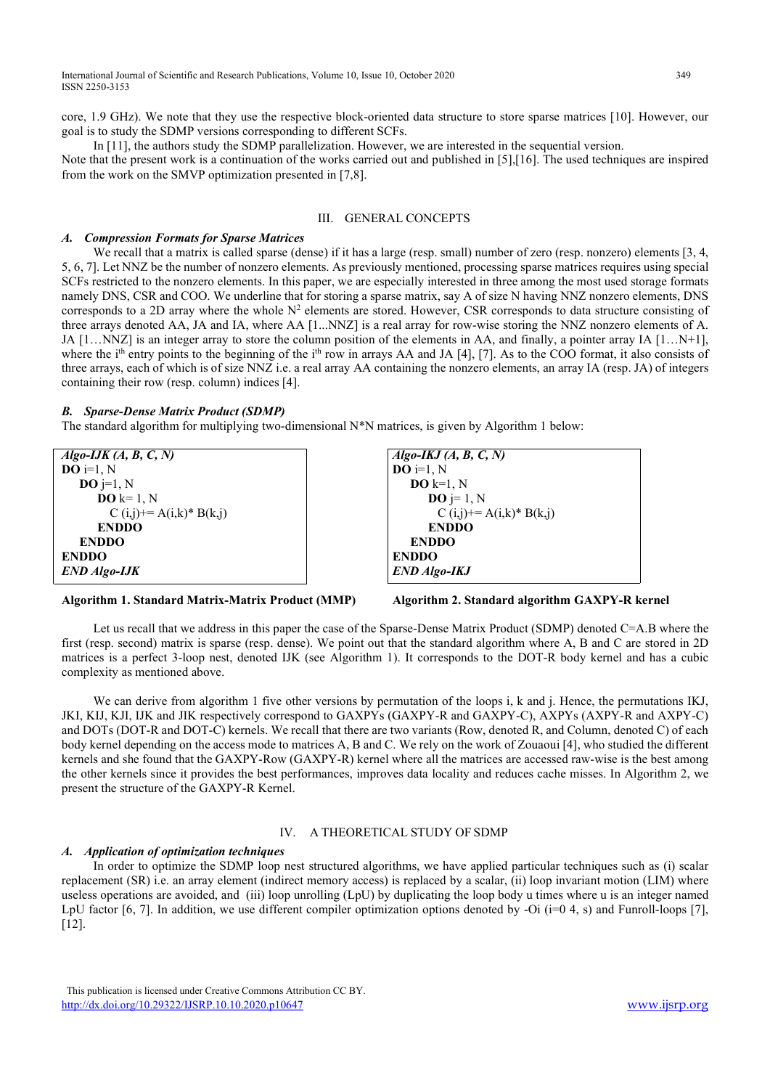core, 1.9 GHz). We note that they use the respective block-oriented data structure to store sparse matrices [10]. However, our goal is to study the SDMP versions corresponding to different SCFs.

In [11], the authors study the SDMP parallelization. However, we are interested in the sequential version.

Note that the present work is a continuation of the works carried out and published in [5],[16]. The used techniques are inspired from the work on the SMVP optimization presented in [7,8].

# III. GENERAL CONCEPTS

#### A. Compression Formats for Sparse Matrices

We recall that a matrix is called sparse (dense) if it has a large (resp. small) number of zero (resp. nonzero) elements [3, 4, 5, 6, 7]. Let NNZ be the number of nonzero elements. As previously mentioned, processing sparse matrices requires using special SCFs restricted to the nonzero elements. In this paper, we are especially interested in three among the most used storage formats namely DNS, CSR and COO. We underline that for storing a sparse matrix, say A of size N having NNZ nonzero elements, DNS corresponds to a 2D array where the whole  $N^2$  elements are stored. However, CSR corresponds to data structure consisting of three arrays denoted AA, JA and IA, where AA [1...NNZ] is a real array for row-wise storing the NNZ nonzero elements of A. JA [1…NNZ] is an integer array to store the column position of the elements in AA, and finally, a pointer array IA [1…N+1], where the i<sup>th</sup> entry points to the beginning of the i<sup>th</sup> row in arrays AA and JA [4], [7]. As to the COO format, it also consists of three arrays, each of which is of size NNZ i.e. a real array AA containing the nonzero elements, an array IA (resp. JA) of integers containing their row (resp. column) indices [4].

#### B. Sparse-Dense Matrix Product (SDMP)

The standard algorithm for multiplying two-dimensional N\*N matrices, is given by Algorithm 1 below:

 $Algo$ -IJK  $(A, B, C, N)$  $DO$  i=1, N DO j=1, N  $DO k=1, N$  $C (i,j)$ += A $(i,k)$ \* B $(k,j)$ ENDDO ENDDO ENDDO END Algo-IJK



Algorithm 2. Standard algorithm GAXPY-R kernel

Let us recall that we address in this paper the case of the Sparse-Dense Matrix Product (SDMP) denoted C=A.B where the first (resp. second) matrix is sparse (resp. dense). We point out that the standard algorithm where A, B and C are stored in 2D matrices is a perfect 3-loop nest, denoted IJK (see Algorithm 1). It corresponds to the DOT-R body kernel and has a cubic complexity as mentioned above.

We can derive from algorithm 1 five other versions by permutation of the loops i, k and j. Hence, the permutations IKJ, JKI, KIJ, KJI, IJK and JIK respectively correspond to GAXPYs (GAXPY-R and GAXPY-C), AXPYs (AXPY-R and AXPY-C) and DOTs (DOT-R and DOT-C) kernels. We recall that there are two variants (Row, denoted R, and Column, denoted C) of each body kernel depending on the access mode to matrices A, B and C. We rely on the work of Zouaoui [4], who studied the different kernels and she found that the GAXPY-Row (GAXPY-R) kernel where all the matrices are accessed raw-wise is the best among the other kernels since it provides the best performances, improves data locality and reduces cache misses. In Algorithm 2, we present the structure of the GAXPY-R Kernel.

### IV. A THEORETICAL STUDY OF SDMP

#### A. Application of optimization techniques

 In order to optimize the SDMP loop nest structured algorithms, we have applied particular techniques such as (i) scalar replacement (SR) i.e. an array element (indirect memory access) is replaced by a scalar, (ii) loop invariant motion (LIM) where useless operations are avoided, and (iii) loop unrolling (LpU) by duplicating the loop body u times where u is an integer named LpU factor [6, 7]. In addition, we use different compiler optimization options denoted by -Oi ( $i=0, 4$ , s) and Funroll-loops [7], [12].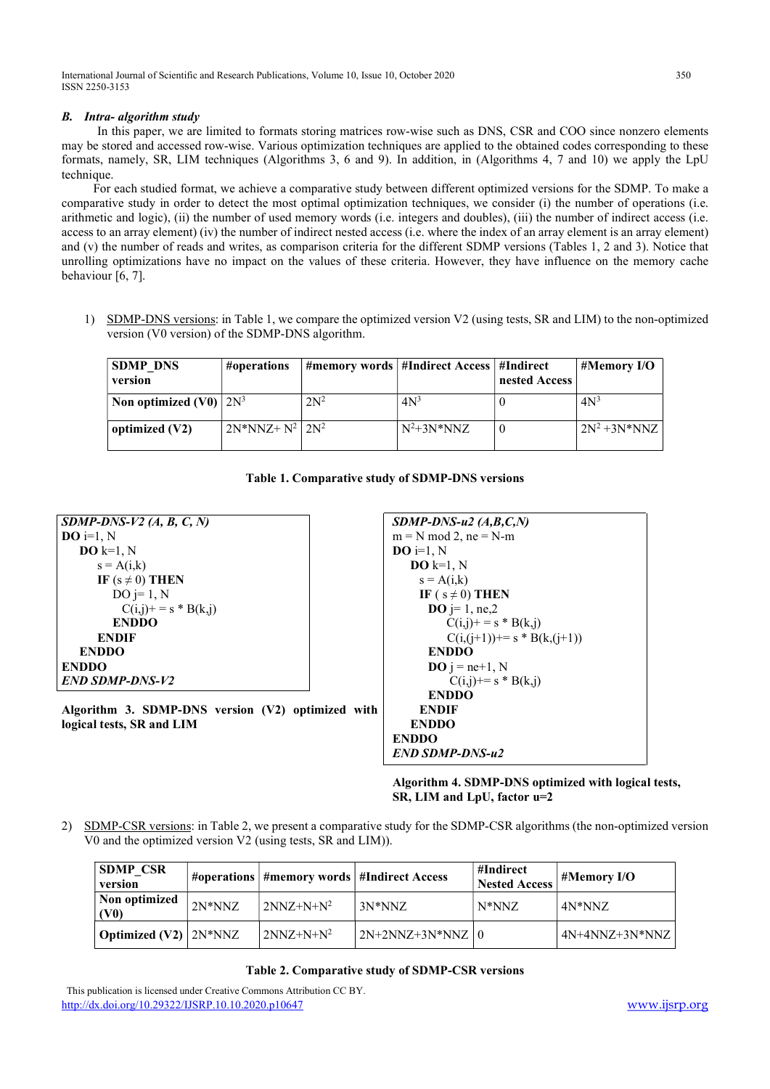# B. Intra- algorithm study

In this paper, we are limited to formats storing matrices row-wise such as DNS, CSR and COO since nonzero elements may be stored and accessed row-wise. Various optimization techniques are applied to the obtained codes corresponding to these formats, namely, SR, LIM techniques (Algorithms 3, 6 and 9). In addition, in (Algorithms 4, 7 and 10) we apply the LpU technique.

 For each studied format, we achieve a comparative study between different optimized versions for the SDMP. To make a comparative study in order to detect the most optimal optimization techniques, we consider (i) the number of operations (i.e. arithmetic and logic), (ii) the number of used memory words (i.e. integers and doubles), (iii) the number of indirect access (i.e. access to an array element) (iv) the number of indirect nested access (i.e. where the index of an array element is an array element) and (v) the number of reads and writes, as comparison criteria for the different SDMP versions (Tables 1, 2 and 3). Notice that unrolling optimizations have no impact on the values of these criteria. However, they have influence on the memory cache behaviour [6, 7].

1) SDMP-DNS versions: in Table 1, we compare the optimized version V2 (using tests, SR and LIM) to the non-optimized version (V0 version) of the SDMP-DNS algorithm.

| <b>SDMP DNS</b><br>version  | #operations         |        | #memory words   #Indirect Access   #Indirect | nested Access | #Memory I/O      |
|-----------------------------|---------------------|--------|----------------------------------------------|---------------|------------------|
| Non optimized $(V0)$ $2N^3$ |                     | $2N^2$ | 4N <sup>3</sup>                              |               | 4N <sup>3</sup>  |
| optimized $(V2)$            | $2N*NNZ+N^2$ $2N^2$ |        | $N^2+3N*NNZ$                                 |               | $2N^2 + 3N^*NNZ$ |

|  |  | Table 1. Comparative study of SDMP-DNS versions |  |  |  |  |
|--|--|-------------------------------------------------|--|--|--|--|
|--|--|-------------------------------------------------|--|--|--|--|

| $SDMP-DNS-V2$ (A, B, C, N)                        | $SDMP-DNS-u2(A,B,C,N)$    |
|---------------------------------------------------|---------------------------|
| $\mathbf{DO}$ i=1, N                              | $m = N$ mod 2, $ne = N-m$ |
| $DO k=1, N$                                       | $\bf{DO}$ i=1. N          |
| $s = A(i,k)$                                      | $\bf{DO}$ k=1. N          |
| IF $(s \neq 0)$ THEN                              | $s = A(i,k)$              |
| $DO$ j= 1, N                                      | IF ( $s \neq 0$ ) THEN    |
| $C(i,j)$ + = s * B(k,j)                           | <b>DO</b> j= 1, ne,2      |
| <b>ENDDO</b>                                      | $C(i,j)$ + = s * B(k      |
| <b>ENDIF</b>                                      | $C(i,(j+1))$ += s *       |
| <b>ENDDO</b>                                      | <b>ENDDO</b>              |
| <b>ENDDO</b>                                      | $\bf{DO}$ j = ne+1, N     |
| <b>END SDMP-DNS-V2</b>                            | $C(i,j)$ += s * B(k       |
|                                                   | <b>ENDDO</b>              |
| Algorithm 3. SDMP-DNS version (V2) optimized with | <b>ENDIF</b>              |
| logical tests, SR and LIM                         | <b>ENDDO</b>              |

**HEN**  $2.2$  $=$  s  $*$  B(k,j)  $(k, (j+1))$  $-1$ , N  $= s * B(k,j)$ ENDDO ENDDO END SDMP-DNS-u2

Algorithm 4. SDMP-DNS optimized with logical tests, SR, LIM and LpU, factor u=2

2) SDMP-CSR versions: in Table 2, we present a comparative study for the SDMP-CSR algorithms (the non-optimized version V0 and the optimized version V2 (using tests, SR and LIM)).

| <b>SDMP CSR</b><br>version     |          | #operations   #memory words   #Indirect Access |                      | #Indirect<br><b>Nested Access</b> | $\#$ Memory I/O  |
|--------------------------------|----------|------------------------------------------------|----------------------|-----------------------------------|------------------|
| Non optimized<br>(V0)          | $2N*NNZ$ | $2NNZ+N+N^2$                                   | $3N*NNZ$             | $N^*NNZ$                          | 4N*NNZ           |
| <b>Optimized (V2)</b> $2N*NNZ$ |          | $2NNZ+N+N^2$                                   | $2N+2NNZ+3N*NNZ$   0 |                                   | $4N+4NNZ+3N*NNZ$ |

# Table 2. Comparative study of SDMP-CSR versions

This publication is licensed under Creative Commons Attribution CC BY. http://dx.doi.org/10.29322/IJSRP.10.10.2020.p10647 www.ijsrp.org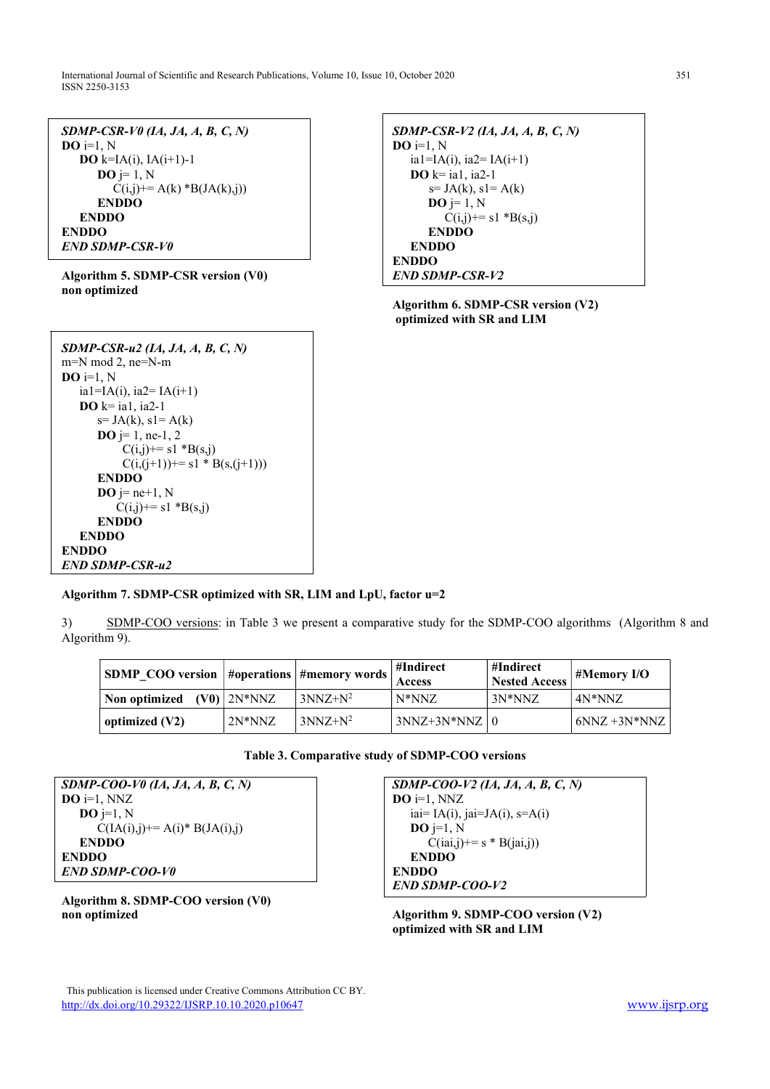International Journal of Scientific and Research Publications, Volume 10, Issue 10, October 2020 351 ISSN 2250-3153

| $SDMP\text{-}CSR\text{-}V0$ (1A, JA, A, B, C, N) |
|--------------------------------------------------|
| $\mathbf{DO}$ i=1, N                             |
| <b>DO</b> k=IA(i), IA(i+1)-1                     |
| $\mathbf{DO}$ j= 1, N                            |
| $C(i,j)$ += A(k) *B(JA(k),j))                    |
| <b>ENDDO</b>                                     |
| <b>ENDDO</b>                                     |
| <b>ENDDO</b>                                     |
| <b>END SDMP-CSR-V0</b>                           |

Algorithm 5. SDMP-CSR version (V0) non optimized



Algorithm 6. SDMP-CSR version (V2) optimized with SR and LIM

| $SDMP\text{-}CSR\text{-}u2$ (IA, JA, A, B, C, N) |
|--------------------------------------------------|
| m=N mod 2, ne=N-m                                |
| $\mathbf{DO}$ i=1, N                             |
| ia1=IA(i), ia2= IA(i+1)                          |
| $\bf{DO}$ k= ia1, ia2-1                          |
| $s = JA(k), s1 = A(k)$                           |
| <b>DO</b> $j=1$ , ne-1, 2                        |
| $C(i,j)$ += s1 *B(s,j)                           |
| $C(i,(i+1)) == s1 * B(s,(i+1)))$                 |
| <b>ENDDO</b>                                     |
| $\mathbf{DO}$ j= ne+1, N                         |
| $C(i,j)$ += s1 *B(s,j)                           |
| <b>ENDDO</b>                                     |
| <b>ENDDO</b>                                     |
| <b>ENDDO</b>                                     |
| <b>END SDMP-CSR-u2</b>                           |

# Algorithm 7. SDMP-CSR optimized with SR, LIM and LpU, factor u=2

3) SDMP-COO versions: in Table 3 we present a comparative study for the SDMP-COO algorithms (Algorithm 8 and Algorithm 9).

| SDMP_COO version  #operations  #memory words |                   |            | ∣#Indirect<br><b>Access</b> | #Indirect<br><b>Nested Access</b> | #Memory I/O     |
|----------------------------------------------|-------------------|------------|-----------------------------|-----------------------------------|-----------------|
| Non optimized                                | $(V0)$   $2N*NNZ$ | $3NNZ+N^2$ | $N^*NNZ$                    | $3N*NNZ$                          | $4N*NNZ$        |
| optimized (V2)                               | $2N*NNZ$          | $3NNZ+N^2$ | $3NNZ+3N*NNZ$   0           |                                   | $6NNZ + 3N*NNZ$ |

| Table 3. Comparative study of SDMP-COO versions |  |
|-------------------------------------------------|--|
|-------------------------------------------------|--|

SDMP-COO-V0 (IA, JA, A, B, C, N)  $DO$  i=1, NNZ  $DO$  j=1, N  $C(IA(i),j)$ += A(i)\* B(JA(i),j) ENDDO ENDDO END SDMP-COO-V0

Algorithm 8. SDMP-COO version (V0) non optimized

SDMP-COO-V2 (IA, JA, A, B, C, N)  $DO$  i=1, NNZ iai=  $IA(i)$ , jai= $JA(i)$ , s= $A(i)$  $\overline{\mathbf{DO}}$  j=1, N  $C(iai,j) == s * B(iai,j))$ ENDDO ENDDO END SDMP-COO-V2

Algorithm 9. SDMP-COO version (V2) optimized with SR and LIM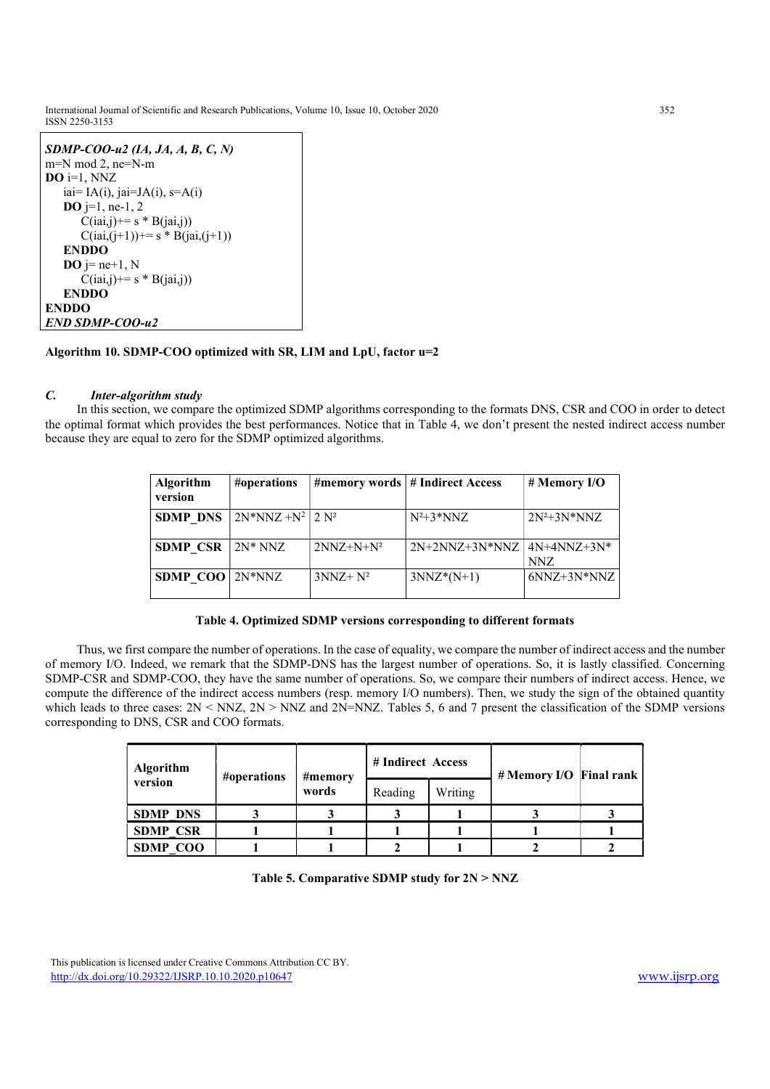International Journal of Scientific and Research Publications, Volume 10, Issue 10, October 2020 352 ISSN 2250-3153

| $SDMP-COO-u2$ (1A, JA, A, B, C, N)   |
|--------------------------------------|
| $m=N \mod 2$ , ne=N-m                |
| $\bf{DO}$ i=1, NNZ                   |
| iai= IA(i), jai=JA(i), s=A(i)        |
|                                      |
| <b>DO</b> j=1, ne-1, 2               |
| $C(iai,j) \rightarrow s * B(iai,j))$ |
| $C(iai,(j+1)) == s * B(jai,(j+1))$   |
| <b>ENDDO</b>                         |
| $\bf{DO}$ j= ne+1, N                 |
| $C(iai,j) \rightarrow s * B(iai,j))$ |
| <b>ENDDO</b>                         |
| <b>ENDDO</b>                         |
| <b>END SDMP-COO-u2</b>               |

# Algorithm 10. SDMP-COO optimized with SR, LIM and LpU, factor u=2

# C. Inter-algorithm study

 In this section, we compare the optimized SDMP algorithms corresponding to the formats DNS, CSR and COO in order to detect the optimal format which provides the best performances. Notice that in Table 4, we don't present the nested indirect access number because they are equal to zero for the SDMP optimized algorithms.

| <b>Algorithm</b><br>version | #operations              |              | #memory words   # Indirect Access | # Memory I/O         |
|-----------------------------|--------------------------|--------------|-----------------------------------|----------------------|
| <b>SDMP DNS</b>             | $2N*NNZ + N^2$   2 $N^2$ |              | $N^2+3*NNZ$                       | $2N^2+3N*NNZ$        |
| <b>SDMP CSR</b>             | $2N^* NNZ$               | $2NNZ+N+N^2$ | $2N+2NNZ+3N*NNZ$                  | $4N+4NNZ+3N*$<br>NNZ |
| <b>SDMP COO</b>             | $2N*NNZ$                 | $3NNZ + N^2$ | $3NNZ^*(N+1)$                     | $6NNZ+3N*NNZ$        |

### Table 4. Optimized SDMP versions corresponding to different formats

 Thus, we first compare the number of operations. In the case of equality, we compare the number of indirect access and the number of memory I/O. Indeed, we remark that the SDMP-DNS has the largest number of operations. So, it is lastly classified. Concerning SDMP-CSR and SDMP-COO, they have the same number of operations. So, we compare their numbers of indirect access. Hence, we compute the difference of the indirect access numbers (resp. memory I/O numbers). Then, we study the sign of the obtained quantity which leads to three cases:  $2N < NNZ$ ,  $2N > NNZ$  and  $2N = NNZ$ . Tables 5, 6 and 7 present the classification of the SDMP versions corresponding to DNS, CSR and COO formats.

| <b>Algorithm</b><br>version | #operations | #memory<br>words | # Indirect Access |         | # Memory I/O Final rank |  |
|-----------------------------|-------------|------------------|-------------------|---------|-------------------------|--|
|                             |             |                  | Reading           | Writing |                         |  |
| <b>SDMP DNS</b>             |             |                  |                   |         |                         |  |
| <b>SDMP CSR</b>             |             |                  |                   |         |                         |  |
| <b>SDMP COO</b>             |             |                  |                   |         |                         |  |

### Table 5. Comparative SDMP study for 2N > NNZ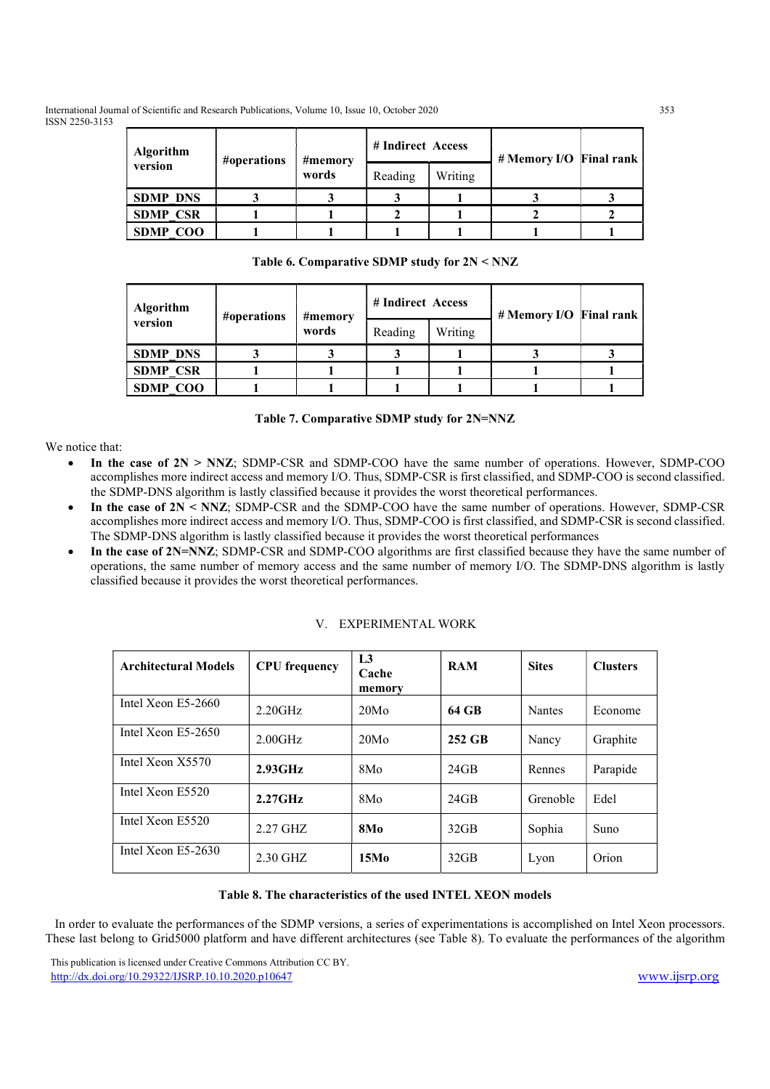International Journal of Scientific and Research Publications, Volume 10, Issue 10, October 2020 353 ISSN 2250-3153

| <b>Algorithm</b> | #operations | #memory<br>words | # Indirect Access |         | # Memory I/O Final rank |  |
|------------------|-------------|------------------|-------------------|---------|-------------------------|--|
| version          |             |                  | Reading           | Writing |                         |  |
| <b>SDMP DNS</b>  |             |                  |                   |         |                         |  |
| <b>SDMP CSR</b>  |             |                  |                   |         |                         |  |
| <b>SDMP COO</b>  |             |                  |                   |         |                         |  |

Table 6. Comparative SDMP study for 2N < NNZ

| <b>Algorithm</b> | #operations | #memory<br>words | # Indirect Access |         | # Memory I/O Final rank |  |  |
|------------------|-------------|------------------|-------------------|---------|-------------------------|--|--|
| version          |             |                  | Reading           | Writing |                         |  |  |
| <b>SDMP DNS</b>  |             |                  |                   |         |                         |  |  |
| <b>SDMP CSR</b>  |             |                  |                   |         |                         |  |  |
| <b>SDMP COO</b>  |             |                  |                   |         |                         |  |  |

| Table 7. Comparative SDMP study for 2N=NNZ |  |  |
|--------------------------------------------|--|--|
|                                            |  |  |

We notice that:

- In the case of  $2N > NNZ$ ; SDMP-CSR and SDMP-COO have the same number of operations. However, SDMP-COO accomplishes more indirect access and memory I/O. Thus, SDMP-CSR is first classified, and SDMP-COO is second classified. the SDMP-DNS algorithm is lastly classified because it provides the worst theoretical performances.
- In the case of  $2N < NNZ$ ; SDMP-CSR and the SDMP-COO have the same number of operations. However, SDMP-CSR accomplishes more indirect access and memory I/O. Thus, SDMP-COO is first classified, and SDMP-CSR is second classified. The SDMP-DNS algorithm is lastly classified because it provides the worst theoretical performances
- In the case of 2N=NNZ; SDMP-CSR and SDMP-COO algorithms are first classified because they have the same number of operations, the same number of memory access and the same number of memory I/O. The SDMP-DNS algorithm is lastly classified because it provides the worst theoretical performances.

| <b>Architectural Models</b> | <b>CPU</b> frequency | L3<br>Cache<br>memory | <b>RAM</b>       | <b>Sites</b>  | <b>Clusters</b> |
|-----------------------------|----------------------|-----------------------|------------------|---------------|-----------------|
| Intel Xeon $E5-2660$        | $2.20$ GHz           | 20M <sub>o</sub>      | 64 GB            | <b>Nantes</b> | Econome         |
| Intel Xeon $E5-2650$        | $2.00$ GHz           | 20M <sub>o</sub>      | 252 GB           | Nancy         | Graphite        |
| Intel Xeon X5570            | $2.93$ GHz           | 8M <sub>o</sub>       | $24$ GB          | Rennes        | Parapide        |
| Intel Xeon E5520            | $2.27$ GHz           | 8M <sub>o</sub>       | 24GB             | Grenoble      | Edel            |
| Intel Xeon E5520            | $2.27$ GHZ           | 8M <sub>0</sub>       | 32 <sub>GB</sub> | Sophia        | Suno            |
| Intel Xeon $E5-2630$        | 2.30 GHZ             | 15M <sub>0</sub>      | 32 <sub>GB</sub> | Lyon          | Orion           |

# V. EXPERIMENTAL WORK

# Table 8. The characteristics of the used INTEL XEON models

 In order to evaluate the performances of the SDMP versions, a series of experimentations is accomplished on Intel Xeon processors. These last belong to Grid5000 platform and have different architectures (see Table 8). To evaluate the performances of the algorithm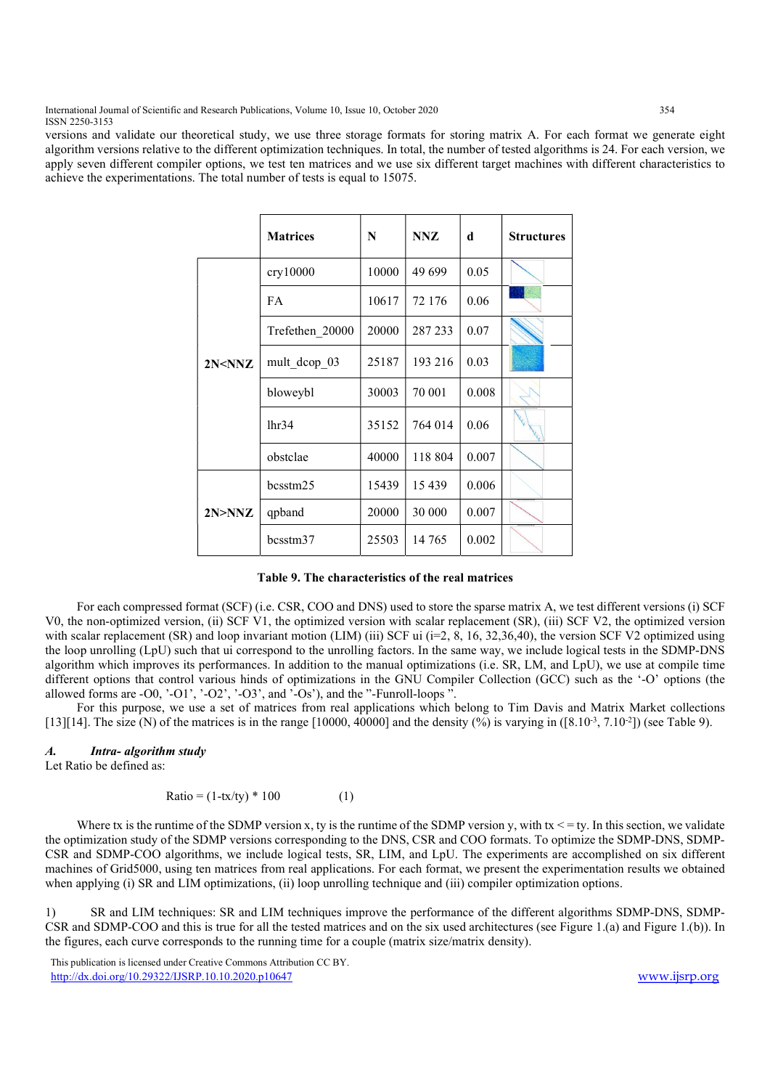International Journal of Scientific and Research Publications, Volume 10, Issue 10, October 2020 354 ISSN 2250-3153

versions and validate our theoretical study, we use three storage formats for storing matrix A. For each format we generate eight algorithm versions relative to the different optimization techniques. In total, the number of tested algorithms is 24. For each version, we apply seven different compiler options, we test ten matrices and we use six different target machines with different characteristics to achieve the experimentations. The total number of tests is equal to 15075.

|              | <b>Matrices</b> | N     | <b>NNZ</b> | d     | <b>Structures</b> |
|--------------|-----------------|-------|------------|-------|-------------------|
|              | cry10000        | 10000 | 49 699     | 0.05  |                   |
|              | <b>FA</b>       | 10617 | 72 176     | 0.06  |                   |
|              | Trefethen 20000 | 20000 | 287 233    | 0.07  |                   |
| $2N<$ NN $Z$ | mult dcop 03    | 25187 | 193 216    | 0.03  |                   |
|              | bloweybl        | 30003 | 70 001     | 0.008 |                   |
|              | 1hr34           | 35152 | 764 014    | 0.06  | <b>Vigo</b>       |
|              | obstclae        | 40000 | 118 804    | 0.007 |                   |
| 2N>NNZ       | bcsstm25        | 15439 | 15 4 39    | 0.006 |                   |
|              | qpband          | 20000 | 30 000     | 0.007 |                   |
|              | bcsstm37        | 25503 | 14 765     | 0.002 |                   |

#### Table 9. The characteristics of the real matrices

 For each compressed format (SCF) (i.e. CSR, COO and DNS) used to store the sparse matrix A, we test different versions (i) SCF V0, the non-optimized version, (ii) SCF V1, the optimized version with scalar replacement (SR), (iii) SCF V2, the optimized version with scalar replacement (SR) and loop invariant motion (LIM) (iii) SCF ui ( $i=2, 8, 16, 32, 36, 40$ ), the version SCF V2 optimized using the loop unrolling (LpU) such that ui correspond to the unrolling factors. In the same way, we include logical tests in the SDMP-DNS algorithm which improves its performances. In addition to the manual optimizations (i.e. SR, LM, and LpU), we use at compile time different options that control various hinds of optimizations in the GNU Compiler Collection (GCC) such as the '-O' options (the allowed forms are  $-00$ ,  $-01'$ ,  $-02'$ ,  $-03'$ , and  $-0s'$ ), and the "-Funroll-loops".

 For this purpose, we use a set of matrices from real applications which belong to Tim Davis and Matrix Market collections [13][14]. The size (N) of the matrices is in the range [10000, 40000] and the density (%) is varying in ([8.10<sup>-3</sup>, 7.10<sup>-2</sup>]) (see Table 9).

#### A. Intra- algorithm study

Let Ratio be defined as:

 $Ratio = (1 - tx/ty) * 100$  (1)

Where tx is the runtime of the SDMP version x, ty is the runtime of the SDMP version y, with  $tx \leq -ty$ . In this section, we validate the optimization study of the SDMP versions corresponding to the DNS, CSR and COO formats. To optimize the SDMP-DNS, SDMP-CSR and SDMP-COO algorithms, we include logical tests, SR, LIM, and LpU. The experiments are accomplished on six different machines of Grid5000, using ten matrices from real applications. For each format, we present the experimentation results we obtained when applying (i) SR and LIM optimizations, (ii) loop unrolling technique and (iii) compiler optimization options.

1) SR and LIM techniques: SR and LIM techniques improve the performance of the different algorithms SDMP-DNS, SDMP-CSR and SDMP-COO and this is true for all the tested matrices and on the six used architectures (see Figure 1.(a) and Figure 1.(b)). In the figures, each curve corresponds to the running time for a couple (matrix size/matrix density).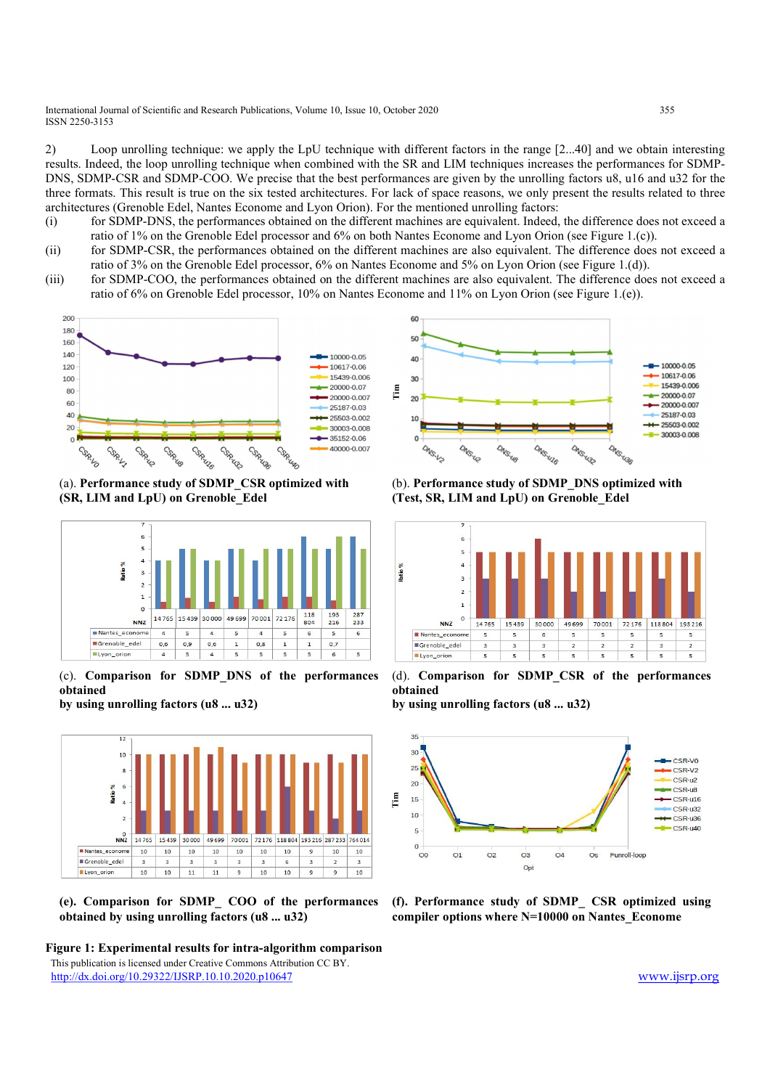International Journal of Scientific and Research Publications, Volume 10, Issue 10, October 2020 355 ISSN 2250-3153

2) Loop unrolling technique: we apply the LpU technique with different factors in the range [2...40] and we obtain interesting results. Indeed, the loop unrolling technique when combined with the SR and LIM techniques increases the performances for SDMP-DNS, SDMP-CSR and SDMP-COO. We precise that the best performances are given by the unrolling factors u8, u16 and u32 for the three formats. This result is true on the six tested architectures. For lack of space reasons, we only present the results related to three architectures (Grenoble Edel, Nantes Econome and Lyon Orion). For the mentioned unrolling factors:

- (i) for SDMP-DNS, the performances obtained on the different machines are equivalent. Indeed, the difference does not exceed a ratio of 1% on the Grenoble Edel processor and 6% on both Nantes Econome and Lyon Orion (see Figure 1.(c)).
- (ii) for SDMP-CSR, the performances obtained on the different machines are also equivalent. The difference does not exceed a ratio of 3% on the Grenoble Edel processor, 6% on Nantes Econome and 5% on Lyon Orion (see Figure 1.(d)).
- (iii) for SDMP-COO, the performances obtained on the different machines are also equivalent. The difference does not exceed a ratio of 6% on Grenoble Edel processor, 10% on Nantes Econome and 11% on Lyon Orion (see Figure 1.(e)).



(a). Performance study of SDMP\_CSR optimized with (SR, LIM and LpU) on Grenoble\_Edel



(c). Comparison for SDMP\_DNS of the performances obtained

by using unrolling factors (u8 ... u32)



(e). Comparison for SDMP\_ COO of the performances obtained by using unrolling factors (u8 ... u32)





(b). Performance study of SDMP\_DNS optimized with (Test, SR, LIM and LpU) on Grenoble\_Edel



(d). Comparison for SDMP\_CSR of the performances obtained

by using unrolling factors (u8 ... u32)



(f). Performance study of SDMP\_ CSR optimized using compiler options where N=10000 on Nantes\_Econome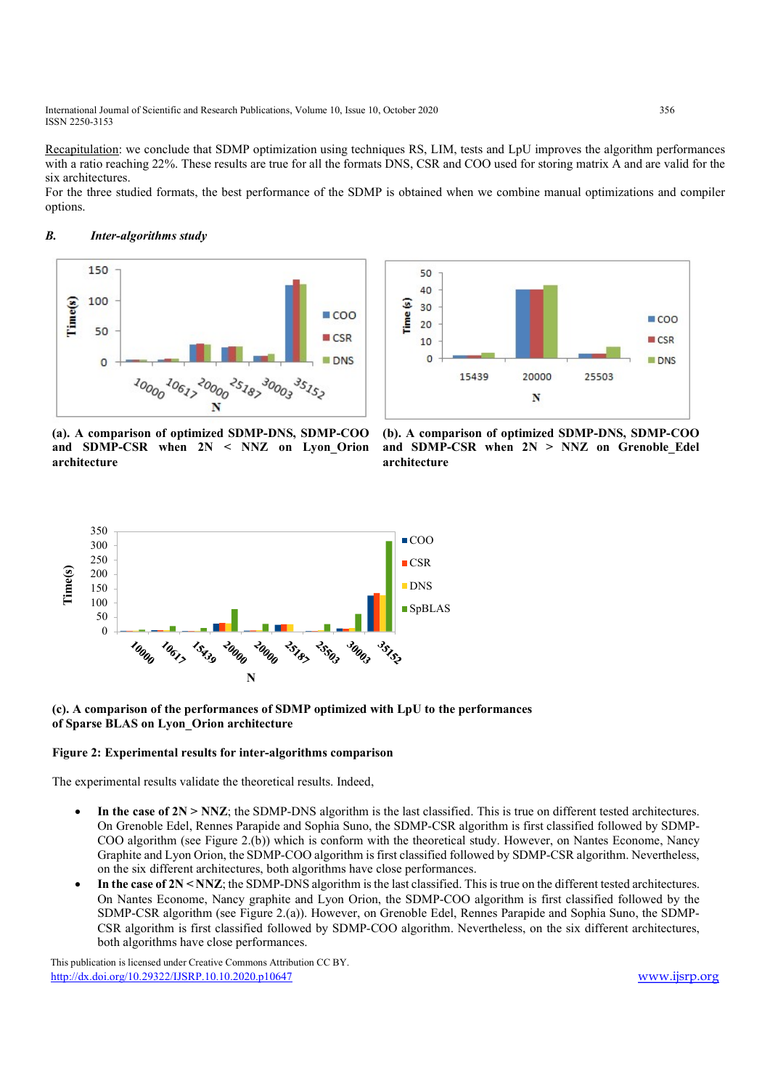International Journal of Scientific and Research Publications, Volume 10, Issue 10, October 2020 356 ISSN 2250-3153

Recapitulation: we conclude that SDMP optimization using techniques RS, LIM, tests and LpU improves the algorithm performances with a ratio reaching 22%. These results are true for all the formats DNS, CSR and COO used for storing matrix A and are valid for the six architectures.

For the three studied formats, the best performance of the SDMP is obtained when we combine manual optimizations and compiler options.

# B. Inter-algorithms study





(a). A comparison of optimized SDMP-DNS, SDMP-COO and SDMP-CSR when 2N < NNZ on Lyon\_Orion architecture

(b). A comparison of optimized SDMP-DNS, SDMP-COO and SDMP-CSR when  $2N > NNZ$  on Grenoble Edel architecture



# (c). A comparison of the performances of SDMP optimized with LpU to the performances of Sparse BLAS on Lyon\_Orion architecture

#### Figure 2: Experimental results for inter-algorithms comparison

The experimental results validate the theoretical results. Indeed,

- In the case of  $2N > NNZ$ ; the SDMP-DNS algorithm is the last classified. This is true on different tested architectures. On Grenoble Edel, Rennes Parapide and Sophia Suno, the SDMP-CSR algorithm is first classified followed by SDMP-COO algorithm (see Figure 2.(b)) which is conform with the theoretical study. However, on Nantes Econome, Nancy Graphite and Lyon Orion, the SDMP-COO algorithm is first classified followed by SDMP-CSR algorithm. Nevertheless, on the six different architectures, both algorithms have close performances.
- In the case of 2N < NNZ; the SDMP-DNS algorithm is the last classified. This is true on the different tested architectures. On Nantes Econome, Nancy graphite and Lyon Orion, the SDMP-COO algorithm is first classified followed by the SDMP-CSR algorithm (see Figure 2.(a)). However, on Grenoble Edel, Rennes Parapide and Sophia Suno, the SDMP-CSR algorithm is first classified followed by SDMP-COO algorithm. Nevertheless, on the six different architectures, both algorithms have close performances.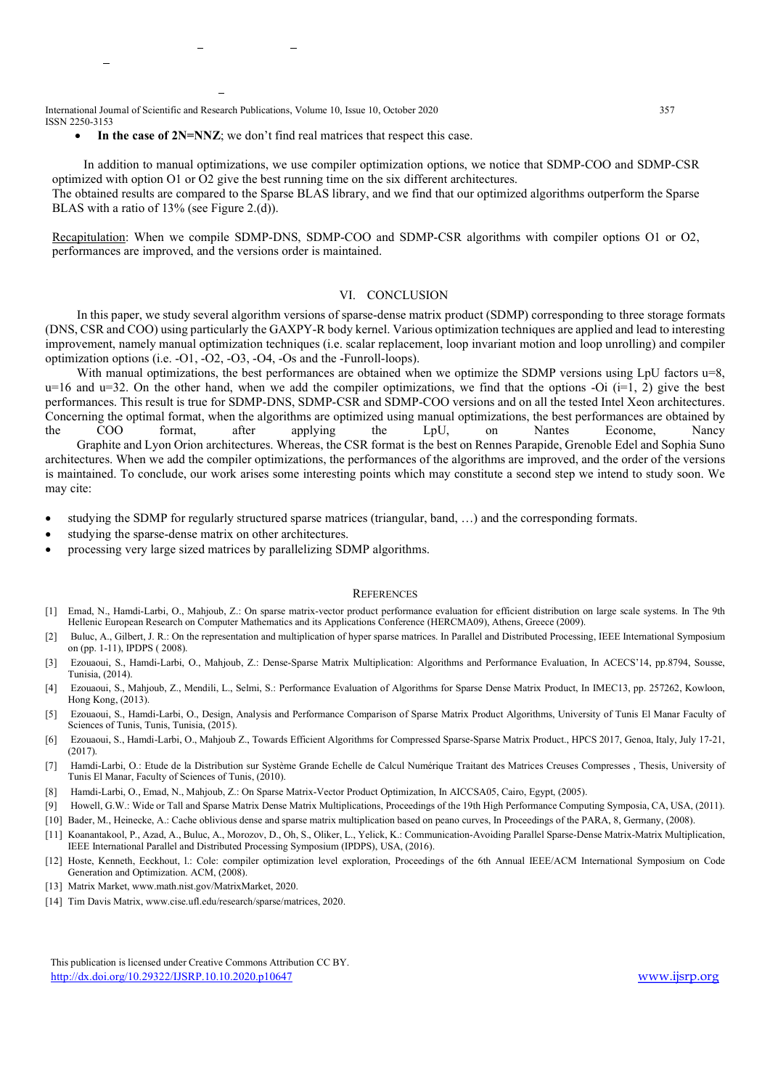International Journal of Scientific and Research Publications, Volume 10, Issue 10, October 2020 357 ISSN 2250-3153

In the case of 2N=NNZ; we don't find real matrices that respect this case.

 In addition to manual optimizations, we use compiler optimization options, we notice that SDMP-COO and SDMP-CSR optimized with option O1 or O2 give the best running time on the six different architectures. The obtained results are compared to the Sparse BLAS library, and we find that our optimized algorithms outperform the Sparse BLAS with a ratio of 13% (see Figure 2.(d)).

Recapitulation: When we compile SDMP-DNS, SDMP-COO and SDMP-CSR algorithms with compiler options O1 or O2, performances are improved, and the versions order is maintained.

### VI. CONCLUSION

 In this paper, we study several algorithm versions of sparse-dense matrix product (SDMP) corresponding to three storage formats (DNS, CSR and COO) using particularly the GAXPY-R body kernel. Various optimization techniques are applied and lead to interesting improvement, namely manual optimization techniques (i.e. scalar replacement, loop invariant motion and loop unrolling) and compiler optimization options (i.e. -O1, -O2, -O3, -O4, -Os and the -Funroll-loops).

With manual optimizations, the best performances are obtained when we optimize the SDMP versions using LpU factors  $u=8$ ,  $u=16$  and  $u=32$ . On the other hand, when we add the compiler optimizations, we find that the options -Oi (i=1, 2) give the best performances. This result is true for SDMP-DNS, SDMP-CSR and SDMP-COO versions and on all the tested Intel Xeon architectures. Concerning the optimal format, when the algorithms are optimized using manual optimizations, the best performances are obtained by the COO format, after applying the LpU, on Nantes Econome, Nancy Graphite and Lyon Orion architectures. Whereas, the CSR format is the best on Rennes Parapide, Grenoble Edel and Sophia Suno

architectures. When we add the compiler optimizations, the performances of the algorithms are improved, and the order of the versions is maintained. To conclude, our work arises some interesting points which may constitute a second step we intend to study soon. We may cite:

- studying the SDMP for regularly structured sparse matrices (triangular, band, …) and the corresponding formats.
- studying the sparse-dense matrix on other architectures.
- processing very large sized matrices by parallelizing SDMP algorithms.

#### **REFERENCES**

- [1] Emad, N., Hamdi-Larbi, O., Mahjoub, Z.: On sparse matrix-vector product performance evaluation for efficient distribution on large scale systems. In The 9th Hellenic European Research on Computer Mathematics and its Applications Conference (HERCMA09), Athens, Greece (2009).
- [2] Buluc, A., Gilbert, J. R.: On the representation and multiplication of hyper sparse matrices. In Parallel and Distributed Processing, IEEE International Symposium on (pp. 1-11), IPDPS ( 2008).
- [3] Ezouaoui, S., Hamdi-Larbi, O., Mahjoub, Z.: Dense-Sparse Matrix Multiplication: Algorithms and Performance Evaluation, In ACECS'14, pp.8794, Sousse, Tunisia, (2014).
- [4] Ezouaoui, S., Mahjoub, Z., Mendili, L., Selmi, S.: Performance Evaluation of Algorithms for Sparse Dense Matrix Product, In IMEC13, pp. 257262, Kowloon, Hong Kong, (2013).
- [5] Ezouaoui, S., Hamdi-Larbi, O., Design, Analysis and Performance Comparison of Sparse Matrix Product Algorithms, University of Tunis El Manar Faculty of Sciences of Tunis, Tunis, Tunisia, (2015).
- [6] Ezouaoui, S., Hamdi-Larbi, O., Mahjoub Z., Towards Efficient Algorithms for Compressed Sparse-Sparse Matrix Product., HPCS 2017, Genoa, Italy, July 17-21, (2017).
- [7] Hamdi-Larbi, O.: Etude de la Distribution sur Système Grande Echelle de Calcul Numérique Traitant des Matrices Creuses Compresses , Thesis, University of Tunis El Manar, Faculty of Sciences of Tunis, (2010).
- [8] Hamdi-Larbi, O., Emad, N., Mahjoub, Z.: On Sparse Matrix-Vector Product Optimization, In AICCSA05, Cairo, Egypt, (2005).
- [9] Howell, G.W.: Wide or Tall and Sparse Matrix Dense Matrix Multiplications, Proceedings of the 19th High Performance Computing Symposia, CA, USA, (2011).
- [10] Bader, M., Heinecke, A.: Cache oblivious dense and sparse matrix multiplication based on peano curves, In Proceedings of the PARA, 8, Germany, (2008).
- [11] Koanantakool, P., Azad, A., Buluc, A., Morozov, D., Oh, S., Oliker, L., Yelick, K.: Communication-Avoiding Parallel Sparse-Dense Matrix-Matrix Multiplication, IEEE International Parallel and Distributed Processing Symposium (IPDPS), USA, (2016).
- [12] Hoste, Kenneth, Eeckhout, l.: Cole: compiler optimization level exploration, Proceedings of the 6th Annual IEEE/ACM International Symposium on Code Generation and Optimization. ACM, (2008).
- [13] Matrix Market, www.math.nist.gov/MatrixMarket, 2020.
- [14] Tim Davis Matrix, www.cise.ufl.edu/research/sparse/matrices, 2020.